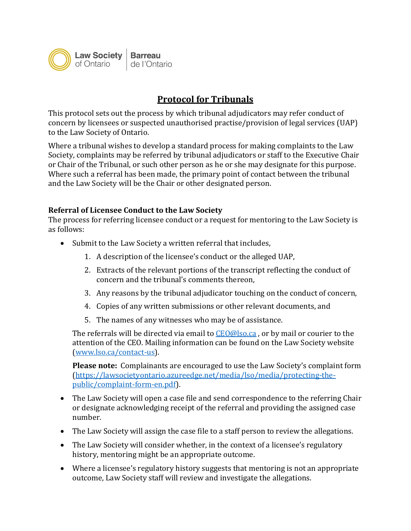

## **Protocol for Tribunals**

This protocol sets out the process by which tribunal adjudicators may refer conduct of concern by licensees or suspected unauthorised practise/provision of legal services (UAP) to the Law Society of Ontario.

Where a tribunal wishes to develop a standard process for making complaints to the Law Society, complaints may be referred by tribunal adjudicators or staff to the Executive Chair or Chair of the Tribunal, or such other person as he or she may designate for this purpose. Where such a referral has been made, the primary point of contact between the tribunal and the Law Society will be the Chair or other designated person.

## **Referral of Licensee Conduct to the Law Society**

The process for referring licensee conduct or a request for mentoring to the Law Society is as follows:

- Submit to the Law Society a written referral that includes,
	- 1. A description of the licensee's conduct or the alleged UAP,
	- 2. Extracts of the relevant portions of the transcript reflecting the conduct of concern and the tribunal's comments thereon,
	- 3. Any reasons by the tribunal adjudicator touching on the conduct of concern,
	- 4. Copies of any written submissions or other relevant documents, and
	- 5. The names of any witnesses who may be of assistance.

The referrals will be directed via email to [CEO@lso.ca](mailto:CEO@lso.ca) , or by mail or courier to the attention of the CEO. Mailing information can be found on the Law Society website [\(www.lso.ca/contact-us\)](http://www.lso.ca/contact-us).

**Please note:** Complainants are encouraged to use the Law Society's complaint form [\(https://lawsocietyontario.azureedge.net/media/lso/media/protecting-the](https://lawsocietyontario.azureedge.net/media/lso/media/protecting-the-public/complaint-form-en.pdf)[public/complaint-form-en.pdf\)](https://lawsocietyontario.azureedge.net/media/lso/media/protecting-the-public/complaint-form-en.pdf).

- The Law Society will open a case file and send correspondence to the referring Chair or designate acknowledging receipt of the referral and providing the assigned case number.
- The Law Society will assign the case file to a staff person to review the allegations.
- The Law Society will consider whether, in the context of a licensee's regulatory history, mentoring might be an appropriate outcome.
- Where a licensee's regulatory history suggests that mentoring is not an appropriate outcome, Law Society staff will review and investigate the allegations.